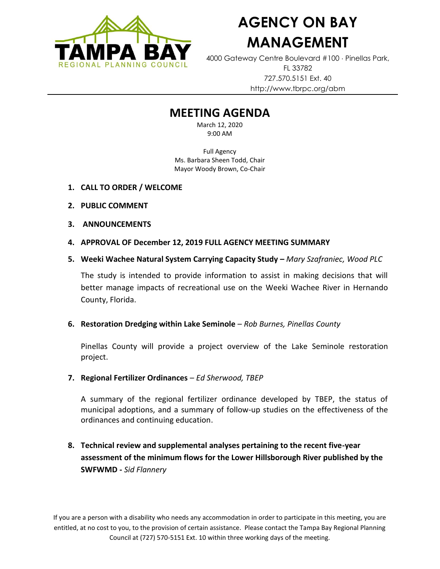

## **AGENCY ON BAY MANAGEMENT**

4000 Gateway Centre Boulevard #100 Pinellas Park, FL 33782 727.570.5151 Ext. 40 http://www.tbrpc.org/abm

## **MEETING AGENDA**

March 12, 2020 9:00 AM

Full Agency Ms. Barbara Sheen Todd, Chair Mayor Woody Brown, Co-Chair

- **1. CALL TO ORDER / WELCOME**
- **2. PUBLIC COMMENT**
- **3. ANNOUNCEMENTS**
- **4. APPROVAL OF December 12, 2019 FULL AGENCY MEETING SUMMARY**
- **5. Weeki Wachee Natural System Carrying Capacity Study –** *Mary Szafraniec, Wood PLC*

The study is intended to provide information to assist in making decisions that will better manage impacts of recreational use on the Weeki Wachee River in Hernando County, Florida.

**6. Restoration Dredging within Lake Seminole** – *Rob Burnes, Pinellas County*

Pinellas County will provide a project overview of the Lake Seminole restoration project.

**7. Regional Fertilizer Ordinances** – *Ed Sherwood, TBEP*

A summary of the regional fertilizer ordinance developed by TBEP, the status of municipal adoptions, and a summary of follow-up studies on the effectiveness of the ordinances and continuing education.

**8. Technical review and supplemental analyses pertaining to the recent five-year assessment of the minimum flows for the Lower Hillsborough River published by the SWFWMD -** *Sid Flannery*

If you are a person with a disability who needs any accommodation in order to participate in this meeting, you are entitled, at no cost to you, to the provision of certain assistance. Please contact the Tampa Bay Regional Planning Council at (727) 570-5151 Ext. 10 within three working days of the meeting.